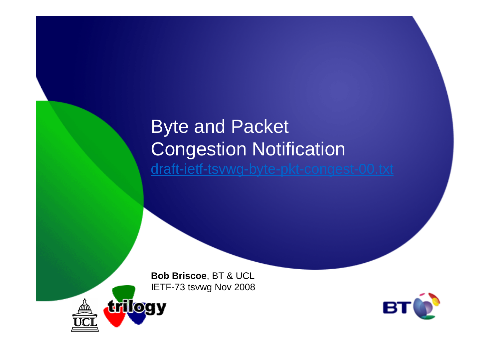## Byte and Packet Congestion Notificationdraft-ietf-tsvwg-byte-pkt-congest-00.txt

**Bob Briscoe**, BT & UCLIETF-73 tsvwg Nov 2008



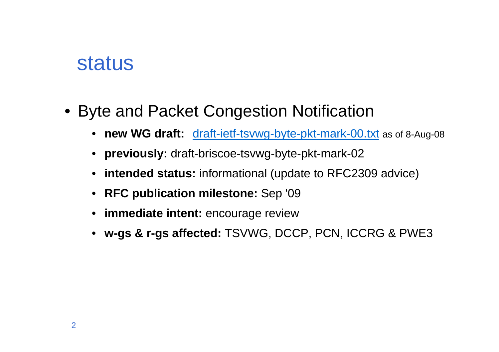## status

- Byte and Packet Congestion Notification
	- **new WG draft:** draft-ietf-tsvwg-byte-pkt-mark-00.txt as of 8-Aug-08
	- **previously:** draft-briscoe-tsvwg-byte-pkt-mark-02
	- **intended status:** informational (update to RFC2309 advice)
	- **RFC publication milestone:** Sep '09
	- **immediate intent:** encourage review
	- **w-gs & r-gs affected:** TSVWG, DCCP, PCN, ICCRG & PWE3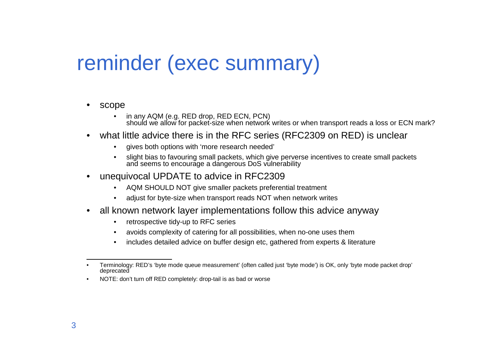# reminder (exec summary)

#### •scope

- • in any AQM (e.g. RED drop, RED ECN, PCN) should we allow for packet-size when network writes or when transport reads a loss or ECN mark?
- • what little advice there is in the RFC series (RFC2309 on RED) is unclear
	- •gives both options with 'more research needed'
	- • slight bias to favouring small packets, which give perverse incentives to create small packetsand seems to encourage a dangerous DoS vulnerability
- • unequivocal UPDATE to advice in RFC2309
	- AQM SHOULD NOT give smaller packets preferential treatment
	- •adjust for byte-size when transport reads NOT when network writes
- • all known network layer implementations follow this advice anyway
	- •retrospective tidy-up to RFC series
	- avoids complexity of catering for all possibilities, when no-one uses them•
	- includes detailed advice on buffer design etc, gathered from experts & literature $\bullet$

 NOTE: don't turn off RED completely: drop-tail is as bad or worse•

<sup>•</sup> Terminology: RED's 'byte mode queue measurement' (often called just 'byte mode') is OK, only 'byte mode packet drop' deprecated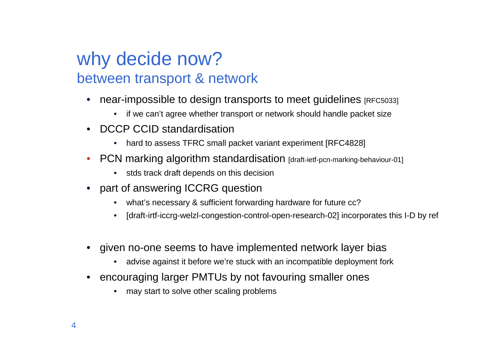### why decide now?between transport & network

- • near-impossible to design transports to meet guidelines [RFC5033]
	- •if we can't agree whether transport or network should handle packet size
- • DCCP CCID standardisation
	- hard to assess TFRC small packet variant experiment [RFC4828]  $\bullet$
- •**PCN marking algorithm standardisation [draft-ietf-pcn-marking-behaviour-01]** 
	- stds track draft depends on this decision
- part of answering ICCRG question
	- what's necessary & sufficient forwarding hardware for future cc?•
	- •[draft-irtf-iccrg-welzl-congestion-control-open-research-02] incorporates this I-D by ref
- • given no-one seems to have implemented network layer bias
	- •advise against it before we're stuck with an incompatible deployment fork
- • encouraging larger PMTUs by not favouring smaller ones
	- •may start to solve other scaling problems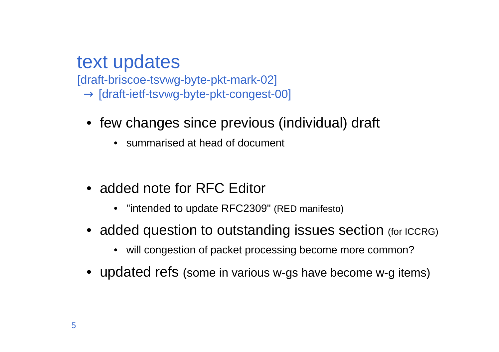#### text updates

 [draft-briscoe-tsvwg-byte-pkt-mark-02] $\rightarrow$  [draft-ietf-tsvwg-byte-pkt-congest-00]

- few changes since previous (individual) draft
	- summarised at head of document
- added note for RFC Editor
	- "intended to update RFC2309" (RED manifesto)
- $\bullet\,$  added question to outstanding issues section  $\,$  (for ICCRG)
	- will congestion of packet processing become more common?
- updated refs (some in various w-gs have become w-g items)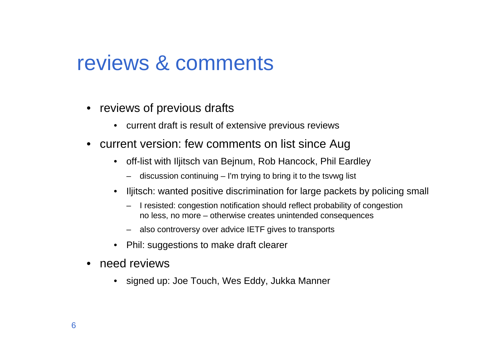# reviews & comments

- reviews of previous drafts
	- current draft is result of extensive previous reviews
- current version: few comments on list since Aug
	- $\bullet$  off-list with Iljitsch van Bejnum, Rob Hancock, Phil Eardley
		- discussion continuing I'm trying to bring it to the tsvwg list
	- $\bullet$  Iljitsch: wanted positive discrimination for large packets by policing small
		- I resisted: congestion notification should reflect probability of congestionno less, no more – otherwise creates unintended consequences
		- also controversy over advice IETF gives to transports
	- •Phil: suggestions to make draft clearer
- • need reviews
	- signed up: Joe Touch, Wes Eddy, Jukka Manner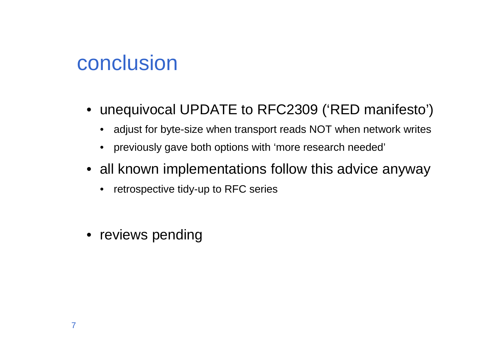# conclusion

- unequivocal UPDATE to RFC2309 ('RED manifesto')
	- adjust for byte-size when transport reads NOT when network writes
	- previously gave both options with 'more research needed'
- all known implementations follow this advice anyway
	- retrospective tidy-up to RFC series
- reviews pending